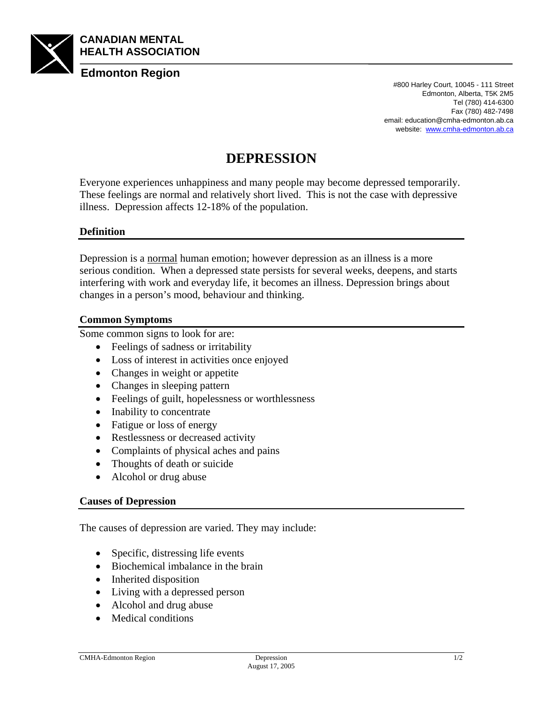

#800 Harley Court, 10045 - 111 Street Edmonton, Alberta, T5K 2M5 Tel (780) 414-6300 Fax (780) 482-7498 email: education@cmha-edmonton.ab.ca website: www.cmha-edmonton.ab.ca

# **DEPRESSION**

Everyone experiences unhappiness and many people may become depressed temporarily. These feelings are normal and relatively short lived. This is not the case with depressive illness. Depression affects 12-18% of the population.

### **Definition**

Depression is a normal human emotion; however depression as an illness is a more serious condition. When a depressed state persists for several weeks, deepens, and starts interfering with work and everyday life, it becomes an illness. Depression brings about changes in a person's mood, behaviour and thinking.

#### **Common Symptoms**

Some common signs to look for are:

- Feelings of sadness or irritability
- Loss of interest in activities once enjoyed
- Changes in weight or appetite
- Changes in sleeping pattern
- Feelings of guilt, hopelessness or worthlessness
- Inability to concentrate
- Fatigue or loss of energy
- Restlessness or decreased activity
- Complaints of physical aches and pains
- Thoughts of death or suicide
- Alcohol or drug abuse

#### **Causes of Depression**

The causes of depression are varied. They may include:

- Specific, distressing life events
- Biochemical imbalance in the brain
- Inherited disposition
- Living with a depressed person
- Alcohol and drug abuse
- Medical conditions